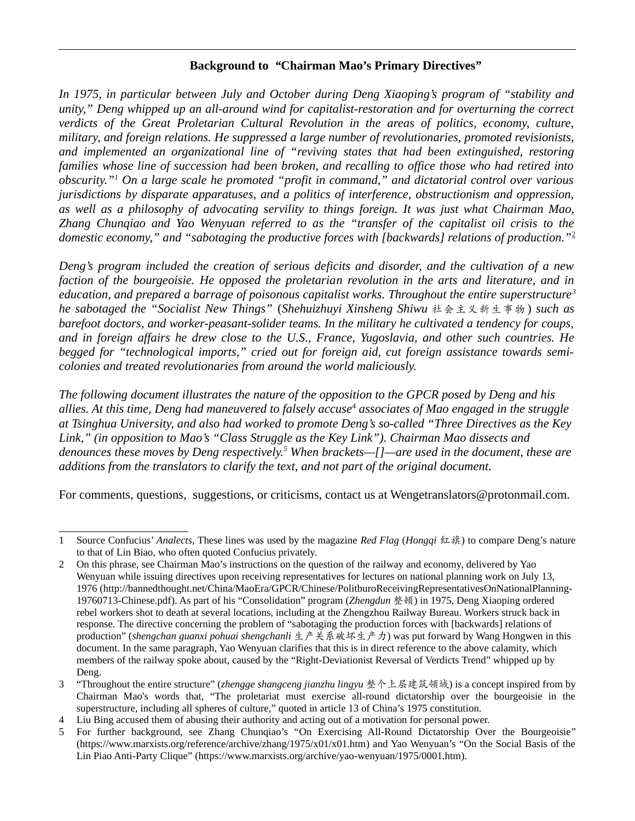#### **Background to** *"***Chairman Mao's Primary Directives"**

*In 1975, in particular between July and October during Deng Xiaoping's program of "stability and unity," Deng whipped up an all-around wind for capitalist-restoration and for overturning the correct verdicts of the Great Proletarian Cultural Revolution in the areas of politics, economy, culture, military, and foreign relations. He suppressed a large number of revolutionaries, promoted revisionists, and implemented an organizational line of "reviving states that had been extinguished, restoring families whose line of succession had been broken, and recalling to office those who had retired into obscurity."[1](#page-0-0) On a large scale he promoted "profit in command," and dictatorial control over various jurisdictions by disparate apparatuses, and a politics of interference, obstructionism and oppression, as well as a philosophy of advocating servility to things foreign. It was just what Chairman Mao, Zhang Chunqiao and Yao Wenyuan referred to as the "transfer of the capitalist oil crisis to the domestic economy," and "sabotaging the productive forces with [backwards] relations of production."*[2](#page-0-1)

*Deng's program included the creation of serious deficits and disorder, and the cultivation of a new faction of the bourgeoisie. He opposed the proletarian revolution in the arts and literature, and in education, and prepared a barrage of poisonous capitalist works. Throughout the entire superstructure[3](#page-0-2) he sabotaged the "Socialist New Things"* (*Shehuizhuyi Xinsheng Shiwu* 社会主义新生事物 ) *such as barefoot doctors, and worker-peasant-solider teams. In the military he cultivated a tendency for coups, and in foreign affairs he drew close to the U.S., France, Yugoslavia, and other such countries. He begged for "technological imports," cried out for foreign aid, cut foreign assistance towards semicolonies and treated revolutionaries from around the world maliciously.*

*The following document illustrates the nature of the opposition to the GPCR posed by Deng and his allies. At this time, Deng had maneuvered to falsely accuse*[4](#page-0-3)  *associates of Mao engaged in the struggle at Tsinghua University, and also had worked to promote Deng's so-called "Three Directives as the Key Link," (in opposition to Mao's "Class Struggle as the Key Link"). Chairman Mao dissects and denounces these moves by Deng respectively.[5](#page-0-4) When brackets—[]—are used in the document, these are additions from the translators to clarify the text, and not part of the original document.* 

For comments, questions, suggestions, or criticisms, contact us at Wengetranslators@protonmail.com.

<span id="page-0-0"></span><sup>1</sup> Source Confucius' *Analects*, These lines was used by the magazine *Red Flag* (*Hongqi* 红旗) to compare Deng's nature to that of Lin Biao, who often quoted Confucius privately.

<span id="page-0-1"></span><sup>2</sup> On this phrase, see Chairman Mao's instructions on the question of the railway and economy, delivered by Yao Wenyuan while issuing directives upon receiving representatives for lectures on national planning work on July 13, 1976 [\(http://bannedthought.net/China/MaoEra/GPCR/Chinese/PolitburoReceivingRepresentativesOnNationalPlanning-](http://bannedthought.net/China/MaoEra/GPCR/Chinese/PolitburoReceivingRepresentativesOnNationalPlanning-19760713-Chinese.pdf)[19760713-Chinese.pdf](http://bannedthought.net/China/MaoEra/GPCR/Chinese/PolitburoReceivingRepresentativesOnNationalPlanning-19760713-Chinese.pdf)). As part of his "Consolidation" program (*Zhengdun* 整顿) in 1975, Deng Xiaoping ordered rebel workers shot to death at several locations, including at the Zhengzhou Railway Bureau. Workers struck back in response. The directive concerning the problem of "sabotaging the production forces with [backwards] relations of production" (*shengchan guanxi pohuai shengchanli* 生产关系破坏生产力) was put forward by Wang Hongwen in this document. In the same paragraph, Yao Wenyuan clarifies that this is in direct reference to the above calamity, which members of the railway spoke about, caused by the "Right-Deviationist Reversal of Verdicts Trend" whipped up by Deng.

<span id="page-0-2"></span><sup>3</sup> "Throughout the entire structure" (*zhengge shangceng jianzhu lingyu* 整个上层建筑领域) is a concept inspired from by Chairman Mao's words that, "The proletariat must exercise all-round dictatorship over the bourgeoisie in the superstructure, including all spheres of culture," quoted in article 13 of China's 1975 constitution.

<span id="page-0-3"></span><sup>4</sup> Liu Bing accused them of abusing their authority and acting out of a motivation for personal power.

<span id="page-0-4"></span><sup>5</sup> For further background, see Zhang Chunqiao's "On Exercising All-Round Dictatorship Over the Bourgeoisie" [\(https://www.marxists.org/reference/archive/zhang/1975/x01/x01.htm](https://www.marxists.org/reference/archive/zhang/1975/x01/x01.htm)) and Yao Wenyuan's "On the Social Basis of the Lin Piao Anti-Party Clique" (https://www.marxists.org/archive/yao-wenyuan/1975/0001.htm).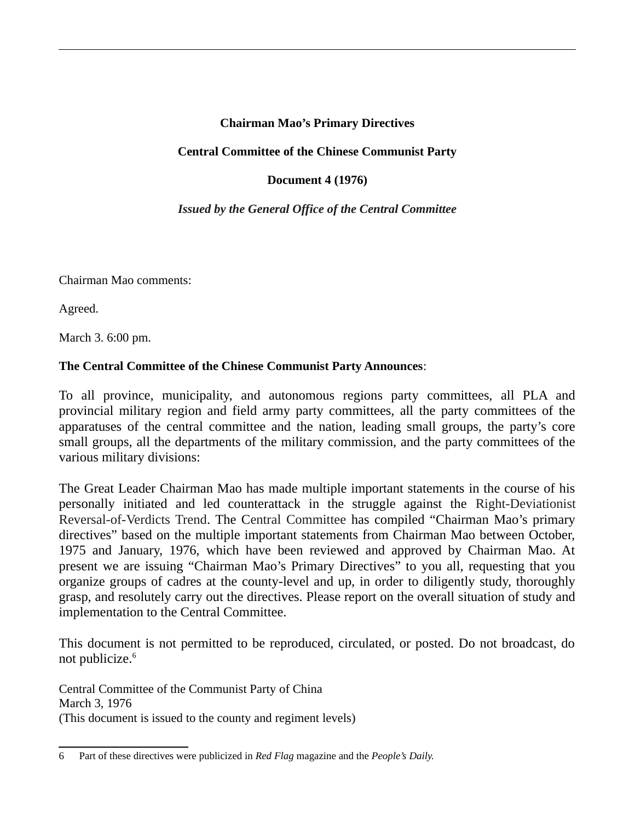# **Chairman Mao's Primary Directives**

#### **Central Committee of the Chinese Communist Party**

## **Document 4 (1976)**

## *Issued by the General Office of the Central Committee*

Chairman Mao comments:

Agreed.

March 3. 6:00 pm.

## **The Central Committee of the Chinese Communist Party Announces**:

To all province, municipality, and autonomous regions party committees, all PLA and provincial military region and field army party committees, all the party committees of the apparatuses of the central committee and the nation, leading small groups, the party's core small groups, all the departments of the military commission, and the party committees of the various military divisions:

The Great Leader Chairman Mao has made multiple important statements in the course of his personally initiated and led counterattack in the struggle against the Right-Deviationist Reversal-of-Verdicts Trend. The Central Committee has compiled "Chairman Mao's primary directives" based on the multiple important statements from Chairman Mao between October, 1975 and January, 1976, which have been reviewed and approved by Chairman Mao. At present we are issuing "Chairman Mao's Primary Directives" to you all, requesting that you organize groups of cadres at the county-level and up, in order to diligently study, thoroughly grasp, and resolutely carry out the directives. Please report on the overall situation of study and implementation to the Central Committee.

This document is not permitted to be reproduced, circulated, or posted. Do not broadcast, do not publicize.<sup>[6](#page-1-0)</sup>

Central Committee of the Communist Party of China March 3, 1976 (This document is issued to the county and regiment levels)

<span id="page-1-0"></span><sup>6</sup> Part of these directives were publicized in *Red Flag* magazine and the *People's Daily.*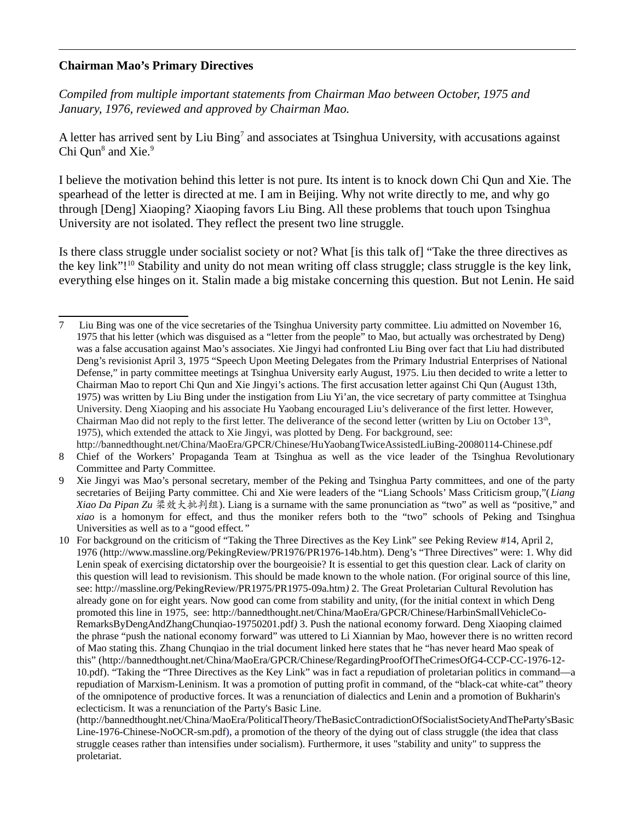#### **Chairman Mao's Primary Directives**

*Compiled from multiple important statements from Chairman Mao between October, 1975 and January, 1976, reviewed and approved by Chairman Mao.*

A letter has arrived sent by Liu Bing<sup>[7](#page-2-0)</sup> and associates at Tsinghua University, with accusations against Chi Qun<sup>[8](#page-2-1)</sup> and Xie.<sup>[9](#page-2-2)</sup>

I believe the motivation behind this letter is not pure. Its intent is to knock down Chi Qun and Xie. The spearhead of the letter is directed at me. I am in Beijing. Why not write directly to me, and why go through [Deng] Xiaoping? Xiaoping favors Liu Bing. All these problems that touch upon Tsinghua University are not isolated. They reflect the present two line struggle.

Is there class struggle under socialist society or not? What [is this talk of] "Take the three directives as the key link"!<sup>[10](#page-2-3)</sup> Stability and unity do not mean writing off class struggle; class struggle is the key link, everything else hinges on it. Stalin made a big mistake concerning this question. But not Lenin. He said

<span id="page-2-0"></span><sup>7</sup> Liu Bing was one of the vice secretaries of the Tsinghua University party committee. Liu admitted on November 16, 1975 that his letter (which was disguised as a "letter from the people" to Mao, but actually was orchestrated by Deng) was a false accusation against Mao's associates. Xie Jingyi had confronted Liu Bing over fact that Liu had distributed Deng's revisionist April 3, 1975 "Speech Upon Meeting Delegates from the Primary Industrial Enterprises of National Defense," in party committee meetings at Tsinghua University early August, 1975. Liu then decided to write a letter to Chairman Mao to report Chi Qun and Xie Jingyi's actions. The first accusation letter against Chi Qun (August 13th, 1975) was written by Liu Bing under the instigation from Liu Yi'an, the vice secretary of party committee at Tsinghua University. Deng Xiaoping and his associate Hu Yaobang encouraged Liu's deliverance of the first letter. However, Chairman Mao did not reply to the first letter. The deliverance of the second letter (written by Liu on October  $13<sup>th</sup>$ , 1975), which extended the attack to Xie Jingyi, was plotted by Deng. For background, see: http://bannedthought.net/China/MaoEra/GPCR/Chinese/HuYaobangTwiceAssistedLiuBing-20080114-Chinese.pdf

<span id="page-2-1"></span><sup>8</sup> Chief of the Workers' Propaganda Team at Tsinghua as well as the vice leader of the Tsinghua Revolutionary Committee and Party Committee.

<span id="page-2-2"></span><sup>9</sup> Xie Jingyi was Mao's personal secretary, member of the Peking and Tsinghua Party committees, and one of the party secretaries of Beijing Party committee. Chi and Xie were leaders of the "Liang Schools' Mass Criticism group,"(*Liang Xiao Da Pipan Zu* 梁效大批判组). Liang is a surname with the same pronunciation as "two" as well as "positive," and *xiao* is a homonym for effect, and thus the moniker refers both to the "two" schools of Peking and Tsinghua Universities as well as to a "good effect*."*

<span id="page-2-3"></span><sup>10</sup> For background on the criticism of "Taking the Three Directives as the Key Link" see Peking Review #14, April 2, 1976 [\(http://www.massline.org/PekingReview/PR1976/PR1976-14b.htm](http://www.massline.org/PekingReview/PR1976/PR1976-14b.htm)). Deng's "Three Directives" were: 1. Why did Lenin speak of exercising dictatorship over the bourgeoisie? It is essential to get this question clear. Lack of clarity on this question will lead to revisionism. This should be made known to the whole nation. (For original source of this line, see: <http://massline.org/PekingReview/PR1975/PR1975-09a.htm>*)* 2. The Great Proletarian Cultural Revolution has already gone on for eight years. Now good can come from stability and unity, (for the initial context in which Deng promoted this line in 1975, see: [http://bannedthought.net/China/MaoEra/GPCR/Chinese/HarbinSmallVehicleCo-](http://bannedthought.net/China/MaoEra/GPCR/Chinese/HarbinSmallVehicleCo-RemarksByDengAndZhangChunqiao-19750201.pdf)[RemarksByDengAndZhangChunqiao-19750201.pdf](http://bannedthought.net/China/MaoEra/GPCR/Chinese/HarbinSmallVehicleCo-RemarksByDengAndZhangChunqiao-19750201.pdf)*)* 3. Push the national economy forward. Deng Xiaoping claimed the phrase "push the national economy forward" was uttered to Li Xiannian by Mao, however there is no written record of Mao stating this. Zhang Chunqiao in the trial document linked here states that he "has never heard Mao speak of this" [\(http://bannedthought.net/China/MaoEra/GPCR/Chinese/RegardingProofOfTheCrimesOfG4-CCP-CC-1976-12-](http://bannedthought.net/China/MaoEra/GPCR/Chinese/RegardingProofOfTheCrimesOfG4-CCP-CC-1976-12-10.pdf) [10.pdf\)](http://bannedthought.net/China/MaoEra/GPCR/Chinese/RegardingProofOfTheCrimesOfG4-CCP-CC-1976-12-10.pdf). "Taking the "Three Directives as the Key Link" was in fact a repudiation of proletarian politics in command—a repudiation of Marxism-Leninism. It was a promotion of putting profit in command, of the "black-cat white-cat" theory of the omnipotence of productive forces. It was a renunciation of dialectics and Lenin and a promotion of Bukharin's eclecticism. It was a renunciation of the Party's Basic Line.

[<sup>\(</sup>http://bannedthought.net/China/MaoEra/PoliticalTheory/TheBasicContradictionOfSocialistSocietyAndTheParty'sBasic](http://bannedthought.net/China/MaoEra/PoliticalTheory/TheBasicContradictionOfSocialistSocietyAndTheParty) [Line-1976-Chinese-NoOCR-sm.pdf\)](http://bannedthought.net/China/MaoEra/PoliticalTheory/TheBasicContradictionOfSocialistSocietyAndTheParty), a promotion of the theory of the dying out of class struggle (the idea that class struggle ceases rather than intensifies under socialism). Furthermore, it uses "stability and unity" to suppress the proletariat.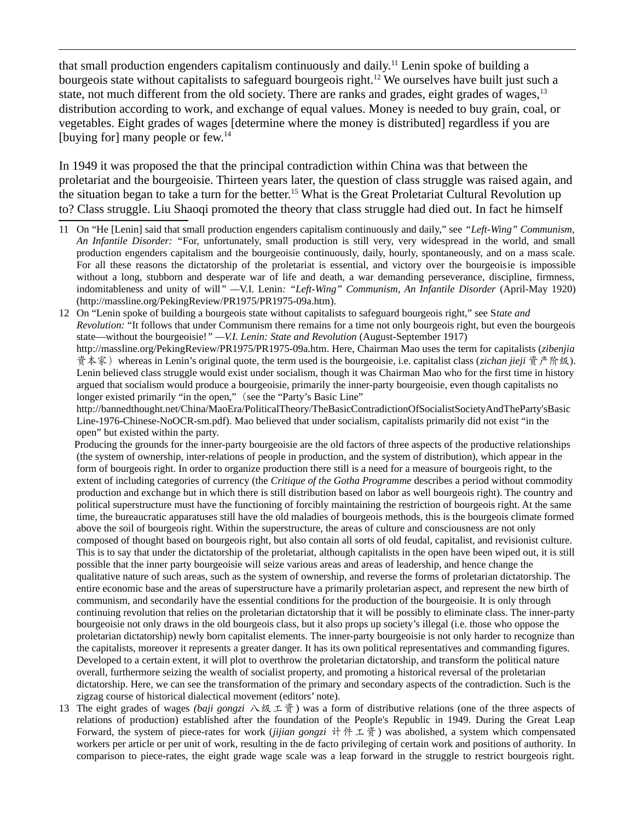that small production engenders capitalism continuously and daily.<sup>[11](#page-3-0)</sup> Lenin spoke of building a bourgeois state without capitalists to safeguard bourgeois right.<sup>[12](#page-3-1)</sup> We ourselves have built just such a state, not much different from the old society. There are ranks and grades, eight grades of wages,<sup>[13](#page-3-2)</sup> distribution according to work, and exchange of equal values. Money is needed to buy grain, coal, or vegetables. Eight grades of wages [determine where the money is distributed] regardless if you are [buying for] many people or few.<sup>14</sup>

In 1949 it was proposed the that the principal contradiction within China was that between the proletariat and the bourgeoisie. Thirteen years later, the question of class struggle was raised again, and the situation began to take a turn for the better.<sup>15</sup> What is the Great Proletariat Cultural Revolution up to? Class struggle. Liu Shaoqi promoted the theory that class struggle had died out. In fact he himself

<span id="page-3-1"></span>12 On "Lenin spoke of building a bourgeois state without capitalists to safeguard bourgeois right," see S*tate and Revolution:* "It follows that under Communism there remains for a time not only bourgeois right, but even the bourgeois state—without the bourgeoisie!*" —V.I. Lenin: State and Revolution* (August-September 1917) <http://massline.org/PekingReview/PR1975/PR1975-09a.htm>. Here, Chairman Mao uses the term for capitalists (*zibenjia* 资本家)whereas in Lenin's original quote, the term used is the bourgeoisie, i.e. capitalist class (*zichan jieji* 资产阶级). Lenin believed class struggle would exist under socialism, though it was Chairman Mao who for the first time in history argued that socialism would produce a bourgeoisie, primarily the inner-party bourgeoisie, even though capitalists no longer existed primarily "in the open," (see the "Party's Basic Line"

[http://bannedthought.net/China/MaoEra/PoliticalTheory/TheBasicContradictionOfSocialistSocietyAndTheParty'sBasic](http://bannedthought.net/China/MaoEra/PoliticalTheory/TheBasicContradictionOfSocialistSocietyAndTheParty) [Line-1976-Chinese-NoOCR-sm.pdf\)](http://bannedthought.net/China/MaoEra/PoliticalTheory/TheBasicContradictionOfSocialistSocietyAndTheParty). Mao believed that under socialism, capitalists primarily did not exist "in the open" but existed within the party.

 Producing the grounds for the inner-party bourgeoisie are the old factors of three aspects of the productive relationships (the system of ownership, inter-relations of people in production, and the system of distribution), which appear in the form of bourgeois right. In order to organize production there still is a need for a measure of bourgeois right, to the extent of including categories of currency (the *Critique of the Gotha Programme* describes a period without commodity production and exchange but in which there is still distribution based on labor as well bourgeois right). The country and political superstructure must have the functioning of forcibly maintaining the restriction of bourgeois right. At the same time, the bureaucratic apparatuses still have the old maladies of bourgeois methods, this is the bourgeois climate formed above the soil of bourgeois right. Within the superstructure, the areas of culture and consciousness are not only composed of thought based on bourgeois right, but also contain all sorts of old feudal, capitalist, and revisionist culture. This is to say that under the dictatorship of the proletariat, although capitalists in the open have been wiped out, it is still possible that the inner party bourgeoisie will seize various areas and areas of leadership, and hence change the qualitative nature of such areas, such as the system of ownership, and reverse the forms of proletarian dictatorship. The entire economic base and the areas of superstructure have a primarily proletarian aspect, and represent the new birth of communism, and secondarily have the essential conditions for the production of the bourgeoisie. It is only through continuing revolution that relies on the proletarian dictatorship that it will be possibly to eliminate class. The inner-party bourgeoisie not only draws in the old bourgeois class, but it also props up society's illegal (i.e. those who oppose the proletarian dictatorship) newly born capitalist elements. The inner-party bourgeoisie is not only harder to recognize than the capitalists, moreover it represents a greater danger. It has its own political representatives and commanding figures. Developed to a certain extent, it will plot to overthrow the proletarian dictatorship, and transform the political nature overall, furthermore seizing the wealth of socialist property, and promoting a historical reversal of the proletarian dictatorship. Here, we can see the transformation of the primary and secondary aspects of the contradiction. Such is the zigzag course of historical dialectical movement (editors' note).

<span id="page-3-2"></span>13 The eight grades of wages *(baji gongzi* 八级工资) was a form of distributive relations (one of the three aspects of relations of production) established after the foundation of the People's Republic in 1949. During the Great Leap Forward, the system of piece-rates for work (*jijian gongzi* 计件工资) was abolished, a system which compensated workers per article or per unit of work, resulting in the de facto privileging of certain work and positions of authority. In comparison to piece-rates, the eight grade wage scale was a leap forward in the struggle to restrict bourgeois right.

<span id="page-3-0"></span><sup>11</sup> On "He [Lenin] said that small production engenders capitalism continuously and daily," see *"Left-Wing" Communism, An Infantile Disorder: "*For, unfortunately, small production is still very, very widespread in the world, and small production engenders capitalism and the bourgeoisie continuously, daily, hourly, spontaneously, and on a mass scale. For all these reasons the dictatorship of the proletariat is essential, and victory over the bourgeoisie is impossible without a long, stubborn and desperate war of life and death, a war demanding perseverance, discipline, firmness, indomitableness and unity of will*" —*V.I. Lenin*: "Left-Wing" Communism, An Infantile Disorder* (April-May 1920) [\(http://massline.org/PekingReview/PR1975/PR1975-09a.htm\)](http://massline.org/PekingReview/PR1975/PR1975-09a.htm).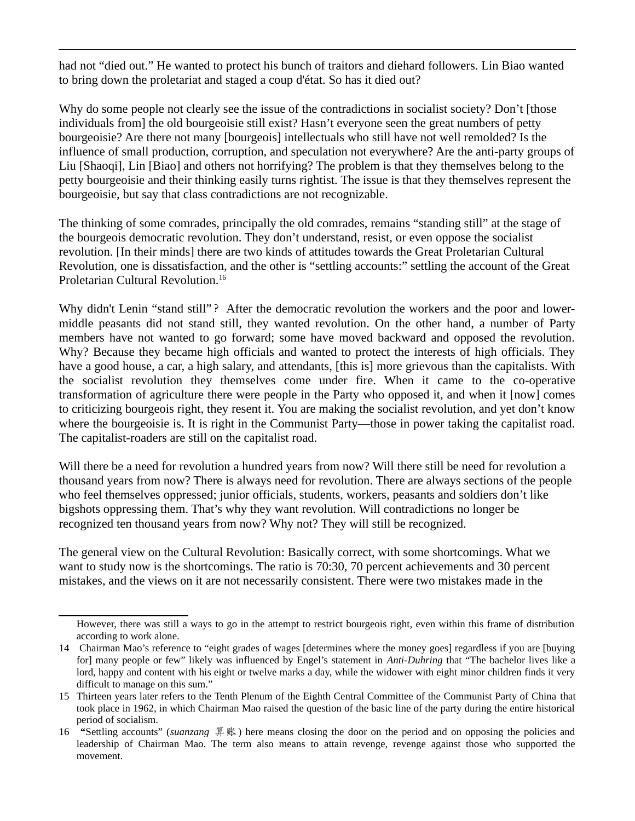had not "died out." He wanted to protect his bunch of traitors and diehard followers. Lin Biao wanted to bring down the proletariat and staged a coup d'état. So has it died out?

Why do some people not clearly see the issue of the contradictions in socialist society? Don't [those individuals from] the old bourgeoisie still exist? Hasn't everyone seen the great numbers of petty bourgeoisie? Are there not many [bourgeois] intellectuals who still have not well remolded? Is the influence of small production, corruption, and speculation not everywhere? Are the anti-party groups of Liu [Shaoqi], Lin [Biao] and others not horrifying? The problem is that they themselves belong to the petty bourgeoisie and their thinking easily turns rightist. The issue is that they themselves represent the bourgeoisie, but say that class contradictions are not recognizable.

The thinking of some comrades, principally the old comrades, remains "standing still" at the stage of the bourgeois democratic revolution. They don't understand, resist, or even oppose the socialist revolution. [In their minds] there are two kinds of attitudes towards the Great Proletarian Cultural Revolution, one is dissatisfaction, and the other is "settling accounts:" settling the account of the Great Proletarian Cultural Revolution.<sup>[16](#page-4-0)</sup>

Why didn't Lenin "stand still"? After the democratic revolution the workers and the poor and lowermiddle peasants did not stand still, they wanted revolution. On the other hand, a number of Party members have not wanted to go forward; some have moved backward and opposed the revolution. Why? Because they became high officials and wanted to protect the interests of high officials. They have a good house, a car, a high salary, and attendants, [this is] more grievous than the capitalists. With the socialist revolution they themselves come under fire. When it came to the co-operative transformation of agriculture there were people in the Party who opposed it, and when it [now] comes to criticizing bourgeois right, they resent it. You are making the socialist revolution, and yet don't know where the bourgeoisie is. It is right in the Communist Party—those in power taking the capitalist road. The capitalist-roaders are still on the capitalist road.

Will there be a need for revolution a hundred years from now? Will there still be need for revolution a thousand years from now? There is always need for revolution. There are always sections of the people who feel themselves oppressed; junior officials, students, workers, peasants and soldiers don't like bigshots oppressing them. That's why they want revolution. Will contradictions no longer be recognized ten thousand years from now? Why not? They will still be recognized.

The general view on the Cultural Revolution: Basically correct, with some shortcomings. What we want to study now is the shortcomings. The ratio is 70:30, 70 percent achievements and 30 percent mistakes, and the views on it are not necessarily consistent. There were two mistakes made in the

However, there was still a ways to go in the attempt to restrict bourgeois right, even within this frame of distribution according to work alone.

<sup>14</sup> Chairman Mao's reference to "eight grades of wages [determines where the money goes] regardless if you are [buying for] many people or few" likely was influenced by Engel's statement in *[Anti-Duhring](http://www.massline.org/PekingReview/PR1976/PR1976-14b.htm)* that "The bachelor lives like a lord, happy and content with his eight or twelve marks a day, while the widower with eight minor children finds it very difficult to manage on this sum."

<sup>15</sup> Thirteen years later refers to the Tenth Plenum of the Eighth Central Committee of the Communist Party of China that took place in 1962, in which Chairman Mao raised the question of the basic line of the party during the entire historical period of socialism*.*

<span id="page-4-0"></span><sup>16</sup> **"**Settling accounts" (*suanzang* 算账) here means closing the door on the period and on opposing the policies and leadership of Chairman Mao. The term also means to attain revenge, revenge against those who supported the movement.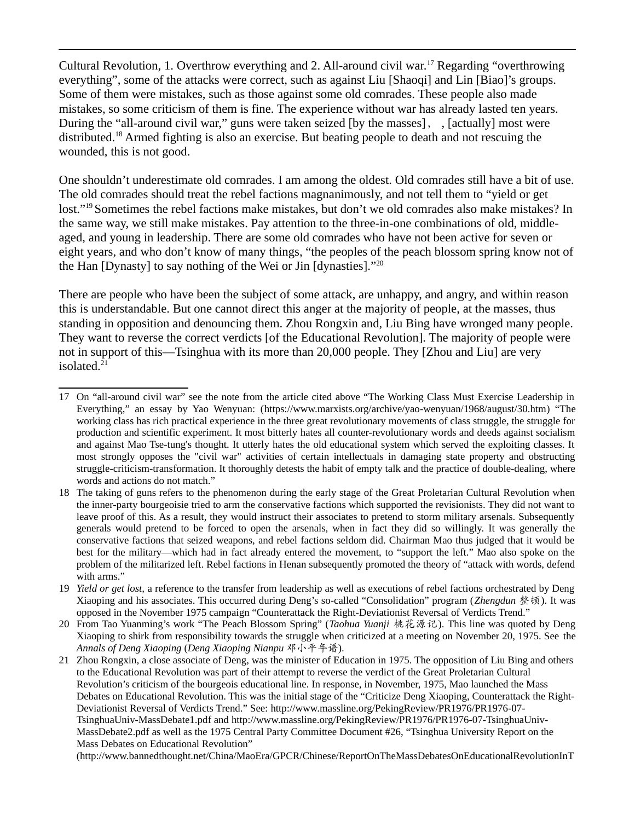Cultural Revolution, 1. Overthrow everything and 2. All-around civil war.<sup>[17](#page-5-0)</sup> Regarding "overthrowing everything", some of the attacks were correct, such as against Liu [Shaoqi] and Lin [Biao]'s groups. Some of them were mistakes, such as those against some old comrades. These people also made mistakes, so some criticism of them is fine. The experience without war has already lasted ten years. During the "all-around civil war," guns were taken seized [by the masses], , [actually] most were distributed.<sup>[18](#page-5-1)</sup> Armed fighting is also an exercise. But beating people to death and not rescuing the wounded, this is not good.

One shouldn't underestimate old comrades. I am among the oldest. Old comrades still have a bit of use. The old comrades should treat the rebel factions magnanimously, and not tell them to "yield or get lost."[19](#page-5-2) Sometimes the rebel factions make mistakes, but don't we old comrades also make mistakes? In the same way, we still make mistakes. Pay attention to the three-in-one combinations of old, middleaged, and young in leadership. There are some old comrades who have not been active for seven or eight years, and who don't know of many things, "the peoples of the peach blossom spring know not of the Han  $[Dynasty]$  to say nothing of the Wei or Jin  $[dynasties]$ ."<sup>[20](#page-5-3)</sup>

There are people who have been the subject of some attack, are unhappy, and angry, and within reason this is understandable. But one cannot direct this anger at the majority of people, at the masses, thus standing in opposition and denouncing them. Zhou Rongxin and, Liu Bing have wronged many people. They want to reverse the correct verdicts [of the Educational Revolution]. The majority of people were not in support of this—Tsinghua with its more than 20,000 people. They [Zhou and Liu] are very isolated.<sup>[21](#page-5-4)</sup>

<span id="page-5-4"></span>21 Zhou Rongxin, a close associate of Deng, was the minister of Education in 1975. The opposition of Liu Bing and others to the Educational Revolution was part of their attempt to reverse the verdict of the Great Proletarian Cultural Revolution's criticism of the bourgeois educational line. In response, in November, 1975, Mao launched the Mass Debates on Educational Revolution. This was the initial stage of the "Criticize Deng Xiaoping, Counterattack the Right-Deviationist Reversal of Verdicts Trend." See: [http://www.massline.org/PekingReview/PR1976/PR1976-07-](http://www.massline.org/PekingReview/PR1976/PR1976-07-TsinghuaUniv-MassDebate1.pdf) [TsinghuaUniv-MassDebate1.pdf](http://www.massline.org/PekingReview/PR1976/PR1976-07-TsinghuaUniv-MassDebate1.pdf) and http://www.massline.org/PekingReview/PR1976/PR1976-07-TsinghuaUniv-MassDebate2.pdf as well as the 1975 Central Party Committee Document #26, "Tsinghua University Report on the Mass Debates on Educational Revolution"

[\(http://www.bannedthought.net/China/MaoEra/GPCR/Chinese/ReportOnTheMassDebatesOnEducationalRevolutionInT](http://www.bannedthought.net/China/MaoEra/GPCR/Chinese/ReportOnTheMassDebatesOnEducationalRevolutionInTsinghuaUniv-19751210.pdf)

<span id="page-5-0"></span><sup>17</sup> On "all-around civil war" see the note from the article cited above "The Working Class Must Exercise Leadership in Everything," an essay by Yao Wenyuan: (<https://www.marxists.org/archive/yao-wenyuan/1968/august/30.htm>) "The working class has rich practical experience in the three great revolutionary movements of class struggle, the struggle for production and scientific experiment. It most bitterly hates all counter-revolutionary words and deeds against socialism and against Mao Tse-tung's thought. It utterly hates the old educational system which served the exploiting classes. It most strongly opposes the "civil war" activities of certain intellectuals in damaging state property and obstructing struggle-criticism-transformation. It thoroughly detests the habit of empty talk and the practice of double-dealing, where words and actions do not match."

<span id="page-5-1"></span><sup>18</sup> The taking of guns refers to the phenomenon during the early stage of the Great Proletarian Cultural Revolution when the inner-party bourgeoisie tried to arm the conservative factions which supported the revisionists. They did not want to leave proof of this. As a result, they would instruct their associates to pretend to storm military arsenals. Subsequently generals would pretend to be forced to open the arsenals, when in fact they did so willingly. It was generally the conservative factions that seized weapons, and rebel factions seldom did. Chairman Mao thus judged that it would be best for the military—which had in fact already entered the movement, to "support the left." Mao also spoke on the problem of the militarized left. Rebel factions in Henan subsequently promoted the theory of "attack with words, defend with arms."

<span id="page-5-2"></span><sup>19</sup> *Yield or get lost,* a reference to the transfer from leadership as well as executions of rebel factions orchestrated by Deng Xiaoping and his associates. This occurred during Deng's so-called "Consolidation" program (*Zhengdun* 整顿). It was opposed in the November 1975 campaign "Counterattack the Right-Deviationist Reversal of Verdicts Trend."

<span id="page-5-3"></span><sup>20</sup> From Tao Yuanming's work "The Peach Blossom Spring" (*Taohua Yuanji* 桃花源记). This line was quoted by Deng Xiaoping to shirk from responsibility towards the struggle when criticized at a meeting on November 20, 1975. See the *Annals of Deng Xiaoping* (*Deng Xiaoping Nianpu* 邓小平年谱).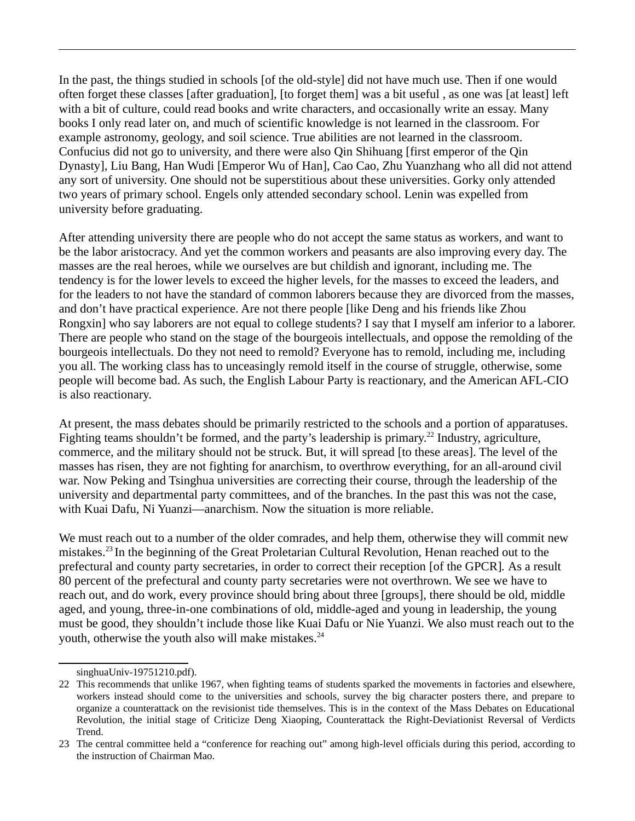In the past, the things studied in schools [of the old-style] did not have much use. Then if one would often forget these classes [after graduation], [to forget them] was a bit useful *,* as one was [at least] left with a bit of culture, could read books and write characters, and occasionally write an essay. Many books I only read later on, and much of scientific knowledge is not learned in the classroom. For example astronomy, geology, and soil science. True abilities are not learned in the classroom. Confucius did not go to university, and there were also Qin Shihuang [first emperor of the Qin Dynasty], Liu Bang, Han Wudi [Emperor Wu of Han], Cao Cao, Zhu Yuanzhang who all did not attend any sort of university. One should not be superstitious about these universities. Gorky only attended two years of primary school. Engels only attended secondary school. Lenin was expelled from university before graduating.

After attending university there are people who do not accept the same status as workers, and want to be the labor aristocracy. And yet the common workers and peasants are also improving every day. The masses are the real heroes, while we ourselves are but childish and ignorant, including me. The tendency is for the lower levels to exceed the higher levels, for the masses to exceed the leaders, and for the leaders to not have the standard of common laborers because they are divorced from the masses, and don't have practical experience. Are not there people [like Deng and his friends like Zhou Rongxin] who say laborers are not equal to college students? I say that I myself am inferior to a laborer. There are people who stand on the stage of the bourgeois intellectuals, and oppose the remolding of the bourgeois intellectuals. Do they not need to remold? Everyone has to remold, including me, including you all. The working class has to unceasingly remold itself in the course of struggle, otherwise, some people will become bad. As such, the English Labour Party is reactionary, and the American AFL-CIO is also reactionary.

At present, the mass debates should be primarily restricted to the schools and a portion of apparatuses. Fighting teams shouldn't be formed, and the party's leadership is primary.<sup>[22](#page-6-0)</sup> Industry, agriculture, commerce, and the military should not be struck*.* But, it will spread [to these areas]. The level of the masses has risen, they are not fighting for anarchism, to overthrow everything, for an all-around civil war. Now Peking and Tsinghua universities are correcting their course, through the leadership of the university and departmental party committees, and of the branches. In the past this was not the case, with Kuai Dafu, Ni Yuanzi—anarchism. Now the situation is more reliable.

We must reach out to a number of the older comrades, and help them, otherwise they will commit new mistakes.<sup>[23](#page-6-1)</sup> In the beginning of the Great Proletarian Cultural Revolution, Henan reached out to the prefectural and county party secretaries, in order to correct their reception [of the GPCR]*.* As a result 80 percent of the prefectural and county party secretaries were not overthrown. We see we have to reach out, and do work, every province should bring about three [groups], there should be old, middle aged, and young, three-in-one combinations of old, middle-aged and young in leadership, the young must be good, they shouldn't include those like Kuai Dafu or Nie Yuanzi. We also must reach out to the youth, otherwise the youth also will make mistakes.<sup>24</sup>

<span id="page-6-0"></span>[singhuaUniv-19751210.pdf](http://www.bannedthought.net/China/MaoEra/GPCR/Chinese/ReportOnTheMassDebatesOnEducationalRevolutionInTsinghuaUniv-19751210.pdf)).

<sup>22</sup> This recommends that unlike 1967, when fighting teams of students sparked the movements in factories and elsewhere, workers instead should come to the universities and schools, survey the big character posters there, and prepare to organize a counterattack on the revisionist tide themselves. This is in the context of the Mass Debates on Educational Revolution, the initial stage of Criticize Deng Xiaoping, Counterattack the Right-Deviationist Reversal of Verdicts Trend.

<span id="page-6-1"></span><sup>23</sup> The central committee held a "conference for reaching out" among high-level officials during this period, according to the instruction of Chairman Mao.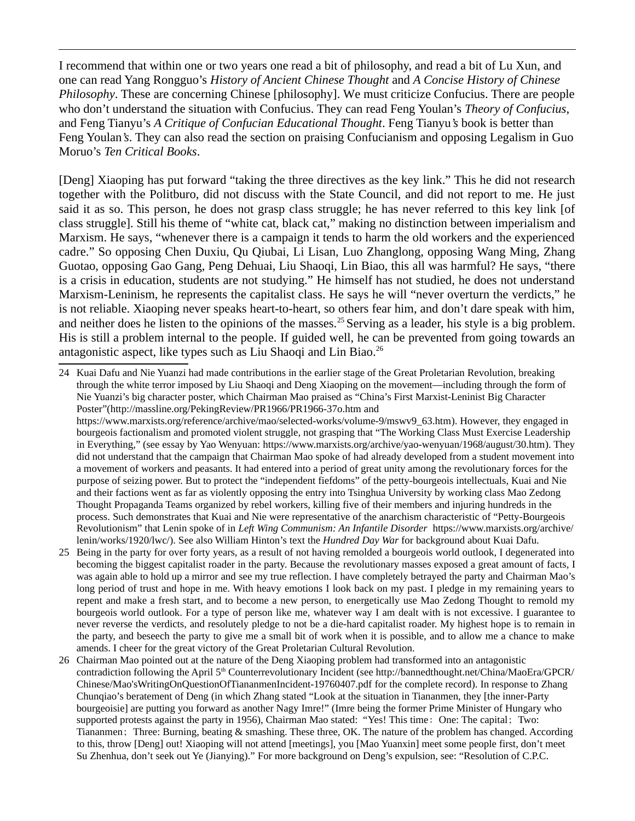I recommend that within one or two years one read a bit of philosophy, and read a bit of Lu Xun, and one can read Yang Rongguo's *History of Ancient Chinese Thought* and *A Concise History of Chinese Philosophy*. These are concerning Chinese [philosophy]. We must criticize Confucius. There are people who don't understand the situation with Confucius. They can read Feng Youlan's *Theory of Confucius*, and Feng Tianyu's *A Critique of Confucian Educational Thought*. Feng Tianyu*'s* book is better than Feng Youlan*'s*. They can also read the section on praising Confucianism and opposing Legalism in Guo Moruo's *Ten Critical Books*.

[Deng] Xiaoping has put forward "taking the three directives as the key link." This he did not research together with the Politburo, did not discuss with the State Council, and did not report to me. He just said it as so. This person, he does not grasp class struggle; he has never referred to this key link [of class struggle]. Still his theme of "white cat, black cat," making no distinction between imperialism and Marxism. He says, "whenever there is a campaign it tends to harm the old workers and the experienced cadre." So opposing Chen Duxiu, Qu Qiubai, Li Lisan, Luo Zhanglong, opposing Wang Ming, Zhang Guotao, opposing Gao Gang, Peng Dehuai, Liu Shaoqi, Lin Biao, this all was harmful? He says, "there is a crisis in education, students are not studying." He himself has not studied, he does not understand Marxism-Leninism, he represents the capitalist class. He says he will "never overturn the verdicts," he is not reliable. Xiaoping never speaks heart-to-heart, so others fear him, and don't dare speak with him, and neither does he listen to the opinions of the masses.<sup>[25](#page-7-0)</sup> Serving as a leader, his style is a big problem. His is still a problem internal to the people. If guided well, he can be prevented from going towards an antagonistic aspect, like types such as Liu Shaoqi and Lin Biao.<sup>[26](#page-7-1)</sup>

<sup>24</sup> Kuai Dafu and Nie Yuanzi had made contributions in the earlier stage of the Great Proletarian Revolution, breaking through the white terror imposed by Liu Shaoqi and Deng Xiaoping on the movement—including through the form of Nie Yuanzi's big character poster, which Chairman Mao praised as "China's First Marxist-Leninist Big Character Poster"(http://massline.org/PekingReview/PR1966/PR1966-37o.htm and

[https://www.marxists.org/reference/archive/mao/selected-works/volume-9/mswv9\\_63.htm](https://www.marxists.org/reference/archive/mao/selected-works/volume-9/mswv9_63.htm)). However, they engaged in bourgeois factionalism and promoted violent struggle, not grasping that "The Working Class Must Exercise Leadership in Everything," (see essay by Yao Wenyuan: [https://www.marxists.org/archive/yao-wenyuan/1968/august/30.htm\)](https://www.marxists.org/archive/yao-wenyuan/1968/august/30.htm). They did not understand that the campaign that Chairman Mao spoke of had already developed from a student movement into a movement of workers and peasants. It had entered into a period of great unity among the revolutionary forces for the purpose of seizing power. But to protect the "independent fiefdoms" of the petty-bourgeois intellectuals, Kuai and Nie and their factions went as far as violently opposing the entry into Tsinghua University by working class Mao Zedong Thought Propaganda Teams organized by rebel workers, killing five of their members and injuring hundreds in the process. Such demonstrates that Kuai and Nie were representative of the anarchism characteristic of "Petty-Bourgeois Revolutionism" that Lenin spoke of in *Left Wing Communism: An Infantile Disorder* [https://www.marxists.org/archive/](https://www.marxists.org/archive/lenin/works/1920/lwc/) [lenin/works/1920/lwc/\)](https://www.marxists.org/archive/lenin/works/1920/lwc/). See also William Hinton's text the *Hundred Day War* for background about Kuai Dafu.

<span id="page-7-0"></span><sup>25</sup> Being in the party for over forty years, as a result of not having remolded a bourgeois world outlook, I degenerated into becoming the biggest capitalist roader in the party. Because the revolutionary masses exposed a great amount of facts, I was again able to hold up a mirror and see my true reflection. I have completely betrayed the party and Chairman Mao's long period of trust and hope in me. With heavy emotions I look back on my past. I pledge in my remaining years to repent and make a fresh start, and to become a new person, to energetically use Mao Zedong Thought to remold my bourgeois world outlook. For a type of person like me, whatever way I am dealt with is not excessive. I guarantee to never reverse the verdicts, and resolutely pledge to not be a die-hard capitalist roader. My highest hope is to remain in the party, and beseech the party to give me a small bit of work when it is possible, and to allow me a chance to make amends. I cheer for the great victory of the Great Proletarian Cultural Revolution.

<span id="page-7-1"></span><sup>26</sup> Chairman Mao pointed out at the nature of the Deng Xiaoping problem had transformed into an antagonistic contradiction following the April 5<sup>th</sup> Counterrevolutionary Incident (see [http://bannedthought.net/China/MaoEra/GPCR/](http://bannedthought.net/China/MaoEra/GPCR/Chinese/Mao) [Chinese/Mao'sWritingOnQuestionOfTiananmenIncident-19760407.pdf](http://bannedthought.net/China/MaoEra/GPCR/Chinese/Mao) for the complete record). In response to Zhang Chunqiao's beratement of Deng (in which Zhang stated "Look at the situation in Tiananmen, they [the inner-Party bourgeoisie] are putting you forward as another Nagy Imre!" (Imre being the former Prime Minister of Hungary who supported protests against the party in 1956), Chairman Mao stated: "Yes! This time: One: The capital; Two: Tiananmen;Three: Burning, beating & smashing. These three, OK. The nature of the problem has changed. According to this, throw [Deng] out! Xiaoping will not attend [meetings], you [Mao Yuanxin] meet some people first, don't meet Su Zhenhua, don't seek out Ye (Jianying)." For more background on Deng's expulsion, see: "Resolution of C.P.C.